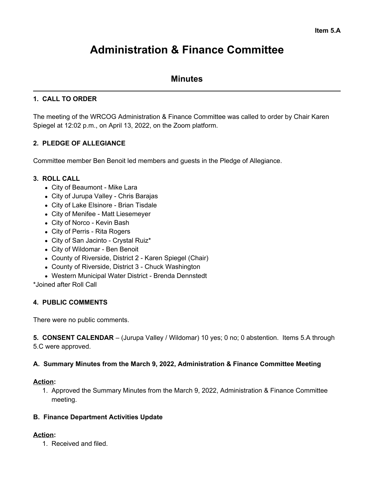# **Administration & Finance Committee**

# **Minutes**

## **1. CALL TO ORDER**

The meeting of the WRCOG Administration & Finance Committee was called to order by Chair Karen Spiegel at 12:02 p.m., on April 13, 2022, on the Zoom platform.

## **2. PLEDGE OF ALLEGIANCE**

Committee member Ben Benoit led members and guests in the Pledge of Allegiance.

## **3. ROLL CALL**

- City of Beaumont Mike Lara
- City of Jurupa Valley Chris Barajas
- City of Lake Elsinore Brian Tisdale
- City of Menifee Matt Liesemeyer
- City of Norco Kevin Bash
- City of Perris Rita Rogers
- City of San Jacinto Crystal Ruiz\*
- City of Wildomar Ben Benoit
- County of Riverside, District 2 Karen Spiegel (Chair)
- County of Riverside, District 3 Chuck Washington
- Western Municipal Water District Brenda Dennstedt

\*Joined after Roll Call

## **4. PUBLIC COMMENTS**

There were no public comments.

**5. CONSENT CALENDAR** – (Jurupa Valley / Wildomar) 10 yes; 0 no; 0 abstention. Items 5.A through 5.C were approved.

#### **A. Summary Minutes from the March 9, 2022, Administration & Finance Committee Meeting**

#### **Action:**

1. Approved the Summary Minutes from the March 9, 2022, Administration & Finance Committee meeting.

#### **B. Finance Department Activities Update**

#### **Action:**

1. Received and filed.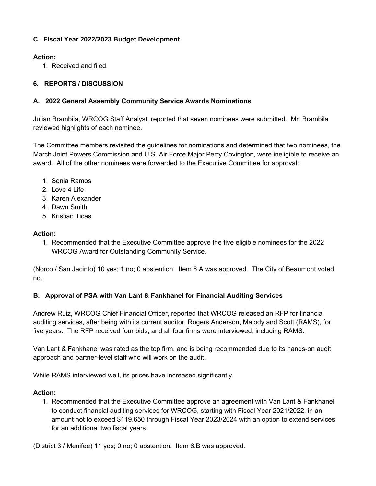## **C. Fiscal Year 2022/2023 Budget Development**

## **Action:**

1. Received and filed.

## **6. REPORTS / DISCUSSION**

## **A. 2022 General Assembly Community Service Awards Nominations**

Julian Brambila, WRCOG Staff Analyst, reported that seven nominees were submitted. Mr. Brambila reviewed highlights of each nominee.

The Committee members revisited the guidelines for nominations and determined that two nominees, the March Joint Powers Commission and U.S. Air Force Major Perry Covington, were ineligible to receive an award. All of the other nominees were forwarded to the Executive Committee for approval:

- 1. Sonia Ramos
- 2. Love 4 Life
- 3. Karen Alexander
- 4. Dawn Smith
- 5. Kristian Ticas

## **Action:**

1. Recommended that the Executive Committee approve the five eligible nominees for the 2022 WRCOG Award for Outstanding Community Service.

(Norco / San Jacinto) 10 yes; 1 no; 0 abstention. Item 6.A was approved. The City of Beaumont voted no.

## **B. Approval of PSA with Van Lant & Fankhanel for Financial Auditing Services**

Andrew Ruiz, WRCOG Chief Financial Officer, reported that WRCOG released an RFP for financial auditing services, after being with its current auditor, Rogers Anderson, Malody and Scott (RAMS), for five years. The RFP received four bids, and all four firms were interviewed, including RAMS.

Van Lant & Fankhanel was rated as the top firm, and is being recommended due to its hands-on audit approach and partner-level staff who will work on the audit.

While RAMS interviewed well, its prices have increased significantly.

## **Action:**

1. Recommended that the Executive Committee approve an agreement with Van Lant & Fankhanel to conduct financial auditing services for WRCOG, starting with Fiscal Year 2021/2022, in an amount not to exceed \$119,650 through Fiscal Year 2023/2024 with an option to extend services for an additional two fiscal years.

(District 3 / Menifee) 11 yes; 0 no; 0 abstention. Item 6.B was approved.